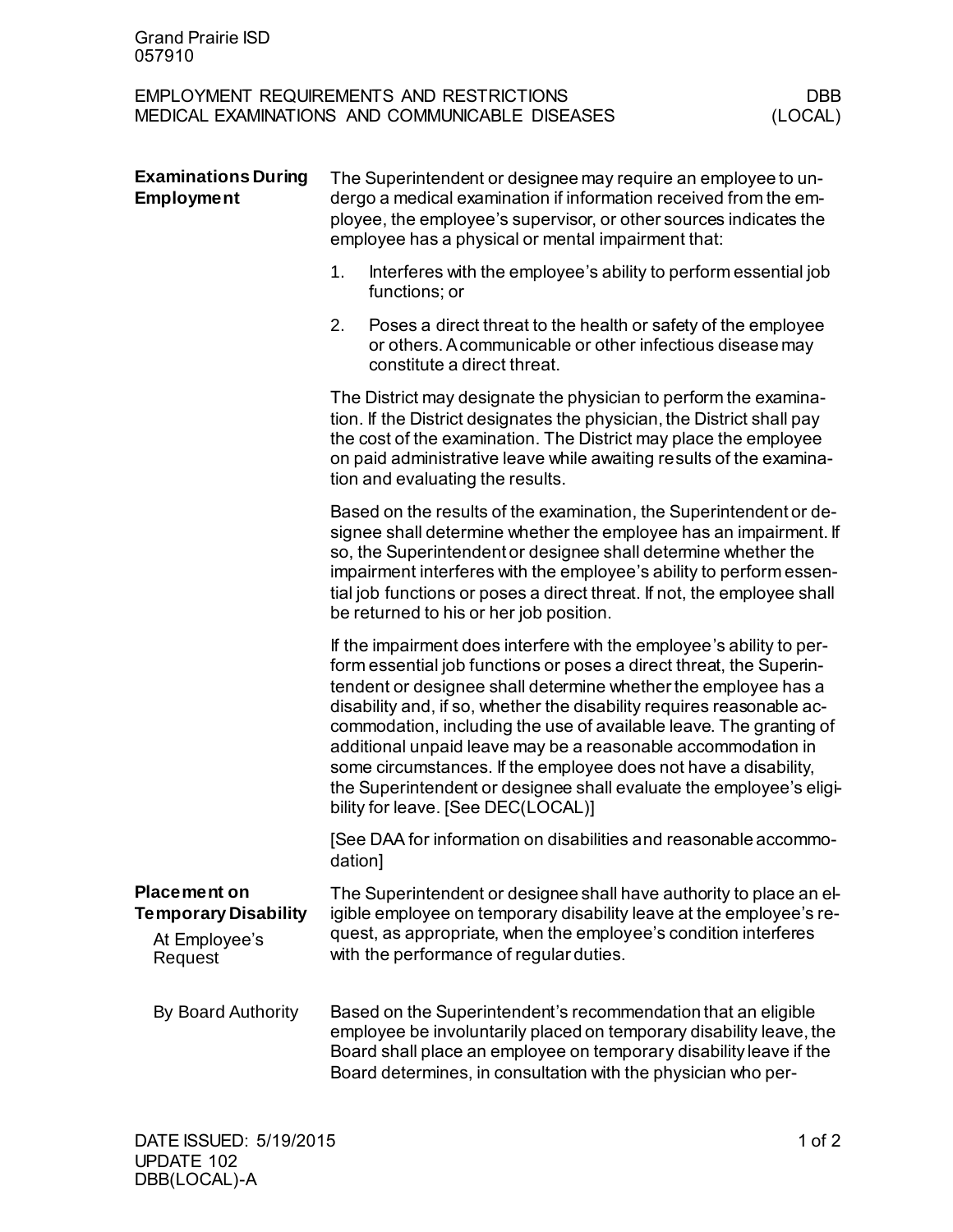| <b>Grand Prairie ISD</b><br>057910                                             |                                                                                                                                                                                                                                                                                                                                                                                                        |                                                                                                                                                                                                                                                                                                                                                                                                                                                                                                                                                                                                              |                |  |
|--------------------------------------------------------------------------------|--------------------------------------------------------------------------------------------------------------------------------------------------------------------------------------------------------------------------------------------------------------------------------------------------------------------------------------------------------------------------------------------------------|--------------------------------------------------------------------------------------------------------------------------------------------------------------------------------------------------------------------------------------------------------------------------------------------------------------------------------------------------------------------------------------------------------------------------------------------------------------------------------------------------------------------------------------------------------------------------------------------------------------|----------------|--|
|                                                                                |                                                                                                                                                                                                                                                                                                                                                                                                        | <b>EMPLOYMENT REQUIREMENTS AND RESTRICTIONS</b><br>MEDICAL EXAMINATIONS AND COMMUNICABLE DISEASES                                                                                                                                                                                                                                                                                                                                                                                                                                                                                                            | DBB<br>(LOCAL) |  |
| <b>Examinations During</b><br><b>Employment</b>                                | The Superintendent or designee may require an employee to un-<br>dergo a medical examination if information received from the em-<br>ployee, the employee's supervisor, or other sources indicates the<br>employee has a physical or mental impairment that:                                                                                                                                           |                                                                                                                                                                                                                                                                                                                                                                                                                                                                                                                                                                                                              |                |  |
|                                                                                | 1.                                                                                                                                                                                                                                                                                                                                                                                                     | Interferes with the employee's ability to perform essential job<br>functions; or                                                                                                                                                                                                                                                                                                                                                                                                                                                                                                                             |                |  |
|                                                                                | 2.                                                                                                                                                                                                                                                                                                                                                                                                     | Poses a direct threat to the health or safety of the employee<br>or others. A communicable or other infectious disease may<br>constitute a direct threat.                                                                                                                                                                                                                                                                                                                                                                                                                                                    |                |  |
|                                                                                | The District may designate the physician to perform the examina-<br>tion. If the District designates the physician, the District shall pay<br>the cost of the examination. The District may place the employee<br>on paid administrative leave while awaiting results of the examina-<br>tion and evaluating the results.                                                                              |                                                                                                                                                                                                                                                                                                                                                                                                                                                                                                                                                                                                              |                |  |
|                                                                                | Based on the results of the examination, the Superintendent or de-<br>signee shall determine whether the employee has an impairment. If<br>so, the Superintendent or designee shall determine whether the<br>impairment interferes with the employee's ability to perform essen-<br>tial job functions or poses a direct threat. If not, the employee shall<br>be returned to his or her job position. |                                                                                                                                                                                                                                                                                                                                                                                                                                                                                                                                                                                                              |                |  |
|                                                                                |                                                                                                                                                                                                                                                                                                                                                                                                        | If the impairment does interfere with the employee's ability to per-<br>form essential job functions or poses a direct threat, the Superin-<br>tendent or designee shall determine whether the employee has a<br>disability and, if so, whether the disability requires reasonable ac-<br>commodation, including the use of available leave. The granting of<br>additional unpaid leave may be a reasonable accommodation in<br>some circumstances. If the employee does not have a disability,<br>the Superintendent or designee shall evaluate the employee's eligi-<br>bility for leave. [See DEC(LOCAL)] |                |  |
|                                                                                | dation]                                                                                                                                                                                                                                                                                                                                                                                                | [See DAA for information on disabilities and reasonable accommo-                                                                                                                                                                                                                                                                                                                                                                                                                                                                                                                                             |                |  |
| <b>Placement on</b><br><b>Temporary Disability</b><br>At Employee's<br>Request |                                                                                                                                                                                                                                                                                                                                                                                                        | The Superintendent or designee shall have authority to place an el-<br>igible employee on temporary disability leave at the employee's re-<br>quest, as appropriate, when the employee's condition interferes<br>with the performance of regular duties.                                                                                                                                                                                                                                                                                                                                                     |                |  |
| By Board Authority                                                             |                                                                                                                                                                                                                                                                                                                                                                                                        | Based on the Superintendent's recommendation that an eligible<br>employee be involuntarily placed on temporary disability leave, the<br>Board shall place an employee on temporary disability leave if the<br>Board determines, in consultation with the physician who per-                                                                                                                                                                                                                                                                                                                                  |                |  |